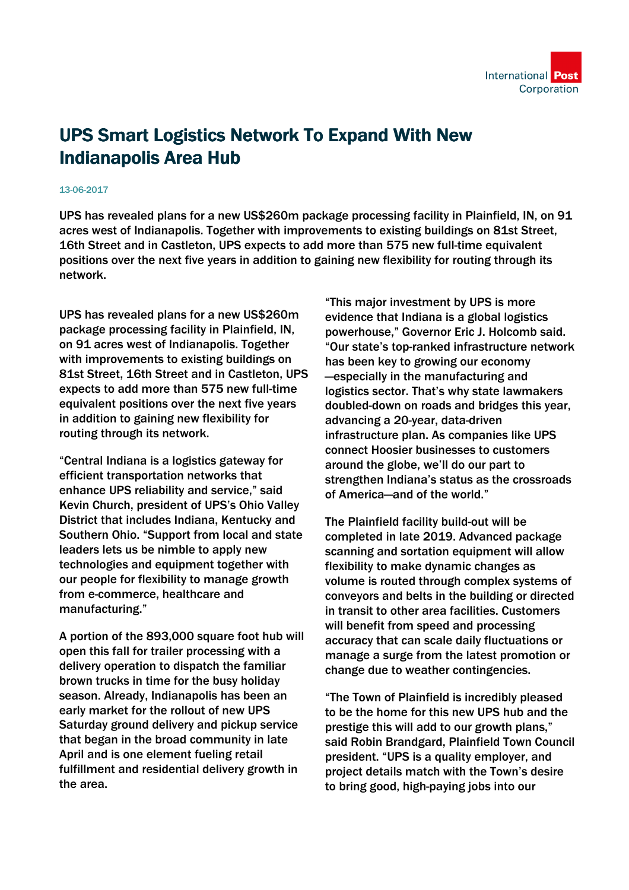

## UPS Smart Logistics Network To Expand With New Indianapolis Area Hub

## 13-06-2017

UPS has revealed plans for a new US\$260m package processing facility in Plainfield, IN, on 91 acres west of Indianapolis. Together with improvements to existing buildings on 81st Street, 16th Street and in Castleton, UPS expects to add more than 575 new full-time equivalent positions over the next five years in addition to gaining new flexibility for routing through its network.

UPS has revealed plans for a new US\$260m package processing facility in Plainfield, IN, on 91 acres west of Indianapolis. Together with improvements to existing buildings on 81st Street, 16th Street and in Castleton, UPS expects to add more than 575 new full-time equivalent positions over the next five years in addition to gaining new flexibility for routing through its network.

"Central Indiana is a logistics gateway for efficient transportation networks that enhance UPS reliability and service," said Kevin Church, president of UPS's Ohio Valley District that includes Indiana, Kentucky and Southern Ohio. "Support from local and state leaders lets us be nimble to apply new technologies and equipment together with our people for flexibility to manage growth from e-commerce, healthcare and manufacturing."

A portion of the 893,000 square foot hub will open this fall for trailer processing with a delivery operation to dispatch the familiar brown trucks in time for the busy holiday season. Already, Indianapolis has been an early market for the rollout of new UPS Saturday ground delivery and pickup service that began in the broad community in late April and is one element fueling retail fulfillment and residential delivery growth in the area.

"This major investment by UPS is more evidence that Indiana is a global logistics powerhouse," Governor Eric J. Holcomb said. "Our state's top-ranked infrastructure network has been key to growing our economy —especially in the manufacturing and logistics sector. That's why state lawmakers doubled-down on roads and bridges this year, advancing a 20-year, data-driven infrastructure plan. As companies like UPS connect Hoosier businesses to customers around the globe, we'll do our part to strengthen Indiana's status as the crossroads of America—and of the world."

The Plainfield facility build-out will be completed in late 2019. Advanced package scanning and sortation equipment will allow flexibility to make dynamic changes as volume is routed through complex systems of conveyors and belts in the building or directed in transit to other area facilities. Customers will benefit from speed and processing accuracy that can scale daily fluctuations or manage a surge from the latest promotion or change due to weather contingencies.

"The Town of Plainfield is incredibly pleased to be the home for this new UPS hub and the prestige this will add to our growth plans," said Robin Brandgard, Plainfield Town Council president. "UPS is a quality employer, and project details match with the Town's desire to bring good, high-paying jobs into our